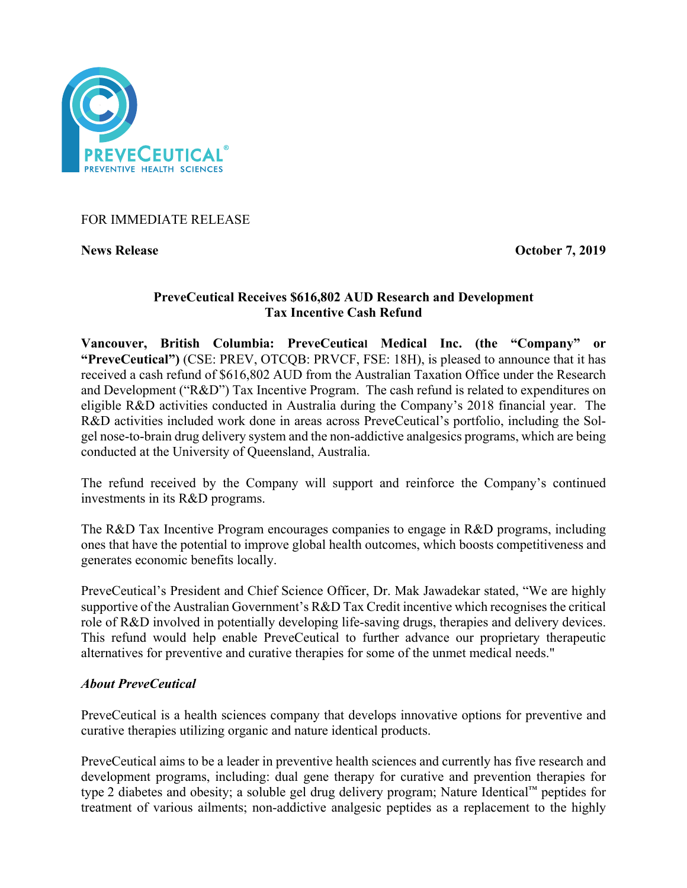

FOR IMMEDIATE RELEASE

**News Release October 7, 2019** 

## **PreveCeutical Receives \$616,802 AUD Research and Development Tax Incentive Cash Refund**

**Vancouver, British Columbia: PreveCeutical Medical Inc. (the "Company" or "PreveCeutical")** (CSE: PREV, OTCQB: PRVCF, FSE: 18H), is pleased to announce that it has received a cash refund of \$616,802 AUD from the Australian Taxation Office under the Research and Development ("R&D") Tax Incentive Program. The cash refund is related to expenditures on eligible R&D activities conducted in Australia during the Company's 2018 financial year. The R&D activities included work done in areas across PreveCeutical's portfolio, including the Solgel nose-to-brain drug delivery system and the non-addictive analgesics programs, which are being conducted at the University of Queensland, Australia.

The refund received by the Company will support and reinforce the Company's continued investments in its R&D programs.

The R&D Tax Incentive Program encourages companies to engage in R&D programs, including ones that have the potential to improve global health outcomes, which boosts competitiveness and generates economic benefits locally.

PreveCeutical's President and Chief Science Officer, Dr. Mak Jawadekar stated, "We are highly supportive of the Australian Government's R&D Tax Credit incentive which recognises the critical role of R&D involved in potentially developing life-saving drugs, therapies and delivery devices. This refund would help enable PreveCeutical to further advance our proprietary therapeutic alternatives for preventive and curative therapies for some of the unmet medical needs."

# *About PreveCeutical*

PreveCeutical is a health sciences company that develops innovative options for preventive and curative therapies utilizing organic and nature identical products.

PreveCeutical aims to be a leader in preventive health sciences and currently has five research and development programs, including: dual gene therapy for curative and prevention therapies for type 2 diabetes and obesity; a soluble gel drug delivery program; Nature Identical™ peptides for treatment of various ailments; non-addictive analgesic peptides as a replacement to the highly